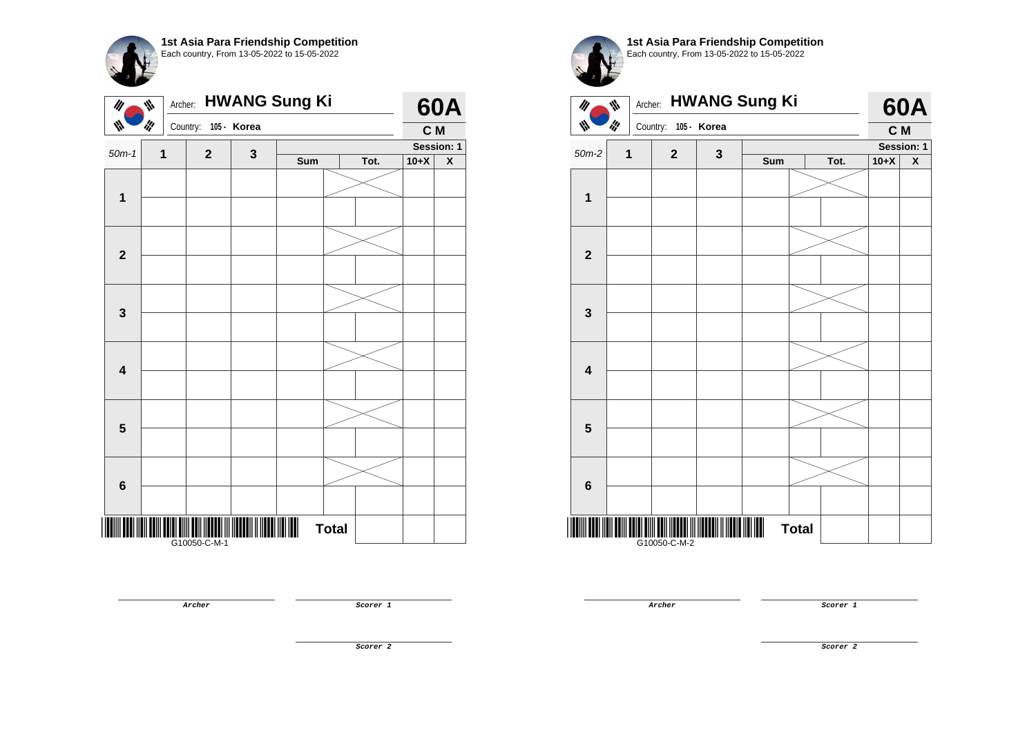

| $\mathscr{U}$           | ₩   | Archer:      |             |              | <b>HWANG Sung Ki</b> |              |      |        | <b>60A</b> |
|-------------------------|-----|--------------|-------------|--------------|----------------------|--------------|------|--------|------------|
| W                       | ill | Country:     |             | 105 - Korea  |                      |              |      | C M    |            |
| $50m-1$                 | 1   |              | $\mathbf 2$ | $\mathbf{3}$ |                      |              |      |        | Session: 1 |
|                         |     |              |             |              | Sum                  |              | Tot. | $10+X$ | X          |
| $\mathbf 1$             |     |              |             |              |                      |              |      |        |            |
|                         |     |              |             |              |                      |              |      |        |            |
| $\overline{\mathbf{2}}$ |     |              |             |              |                      |              |      |        |            |
|                         |     |              |             |              |                      |              |      |        |            |
|                         |     |              |             |              |                      |              |      |        |            |
| $\mathbf 3$             |     |              |             |              |                      |              |      |        |            |
|                         |     |              |             |              |                      |              |      |        |            |
| $\overline{\mathbf{4}}$ |     |              |             |              |                      |              |      |        |            |
|                         |     |              |             |              |                      |              |      |        |            |
| ${\bf 5}$               |     |              |             |              |                      |              |      |        |            |
|                         |     |              |             |              |                      |              |      |        |            |
| $\bf 6$                 |     |              |             |              |                      |              |      |        |            |
|                         |     |              |             |              |                      |              |      |        |            |
|                         |     | G10050-C-M-1 |             |              | Ш                    | <b>Total</b> |      |        |            |

| M                       | Archer:<br>₩ |                      | <b>HWANG Sung Ki</b> |     |      |            | <b>60A</b>         |
|-------------------------|--------------|----------------------|----------------------|-----|------|------------|--------------------|
| W                       | ilf          | Country: 105 - Korea |                      |     |      | C M        |                    |
| $50m-2$                 | $\mathbf{1}$ | $\overline{2}$       | 3                    |     |      | Session: 1 |                    |
|                         |              |                      |                      | Sum | Tot. | $10+X$     | $\pmb{\mathsf{X}}$ |
|                         |              |                      |                      |     |      |            |                    |
| 1                       |              |                      |                      |     |      |            |                    |
|                         |              |                      |                      |     |      |            |                    |
|                         |              |                      |                      |     |      |            |                    |
| $\overline{2}$          |              |                      |                      |     |      |            |                    |
|                         |              |                      |                      |     |      |            |                    |
|                         |              |                      |                      |     |      |            |                    |
| 3                       |              |                      |                      |     |      |            |                    |
|                         |              |                      |                      |     |      |            |                    |
|                         |              |                      |                      |     |      |            |                    |
|                         |              |                      |                      |     |      |            |                    |
| $\overline{\mathbf{4}}$ |              |                      |                      |     |      |            |                    |
|                         |              |                      |                      |     |      |            |                    |
|                         |              |                      |                      |     |      |            |                    |
| 5                       |              |                      |                      |     |      |            |                    |
|                         |              |                      |                      |     |      |            |                    |
|                         |              |                      |                      |     |      |            |                    |
| 6                       |              |                      |                      |     |      |            |                    |
|                         |              |                      |                      |     |      |            |                    |
| IIII                    |              |                      |                      |     |      |            |                    |

1st Asia Para Friendship Competition

**Archer Scorer 1** 

**Scorer 2**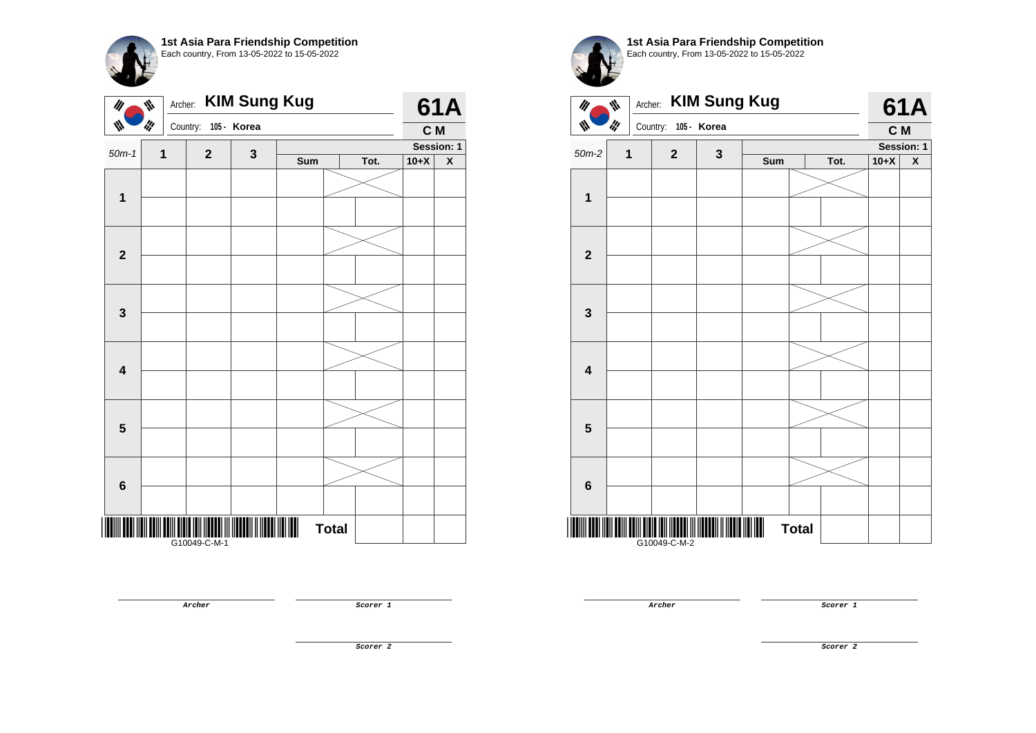| 1st Asia Para Friendship Competition<br>Each country, From 13-05-2022 to 15-05-2022 |      |
|-------------------------------------------------------------------------------------|------|
| Archer: <b>KIM Sung Kug</b>                                                         | 61 A |
|                                                                                     |      |

| $\frac{1}{2}$ |   | Country: 105 - Korea |             |     |              |      | C M    |                         |
|---------------|---|----------------------|-------------|-----|--------------|------|--------|-------------------------|
|               |   |                      |             |     |              |      |        | Session: 1              |
| $50m-1$       | 1 | $\mathbf 2$          | $\mathbf 3$ | Sum |              | Tot. | $10+X$ | $\overline{\textbf{X}}$ |
|               |   |                      |             |     |              |      |        |                         |
| $\mathbf{1}$  |   |                      |             |     |              |      |        |                         |
|               |   |                      |             |     |              |      |        |                         |
|               |   |                      |             |     |              |      |        |                         |
| $\mathbf 2$   |   |                      |             |     |              |      |        |                         |
|               |   |                      |             |     |              |      |        |                         |
|               |   |                      |             |     |              |      |        |                         |
|               |   |                      |             |     |              |      |        |                         |
| 3             |   |                      |             |     |              |      |        |                         |
|               |   |                      |             |     |              |      |        |                         |
|               |   |                      |             |     |              |      |        |                         |
| 4             |   |                      |             |     |              |      |        |                         |
|               |   |                      |             |     |              |      |        |                         |
|               |   |                      |             |     |              |      |        |                         |
| ${\bf 5}$     |   |                      |             |     |              |      |        |                         |
|               |   |                      |             |     |              |      |        |                         |
|               |   |                      |             |     |              |      |        |                         |
| $\bf 6$       |   |                      |             |     |              |      |        |                         |
|               |   |                      |             |     |              |      |        |                         |
|               |   |                      |             |     |              |      |        |                         |
|               |   | <br> G10049-C-M-1    |             | Ш   | <b>Total</b> |      |        |                         |
|               |   |                      |             |     |              |      |        |                         |



**Archer Scorer 1** 

**Scorer 2**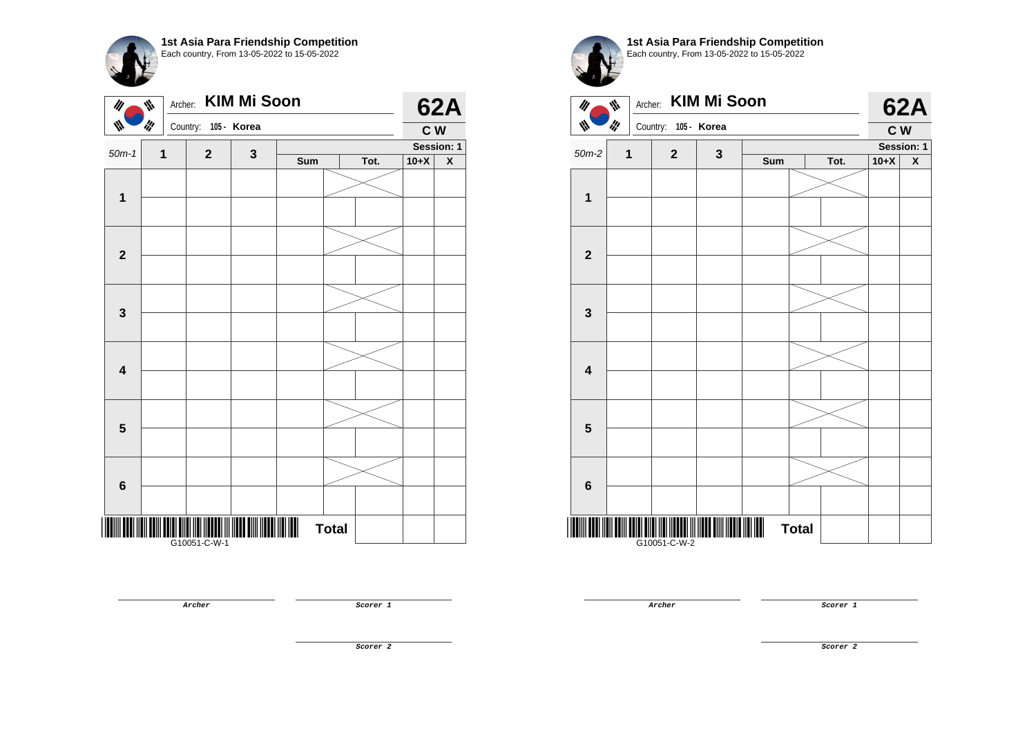**1st Asia Para Friendship Competition** Each country, From 13-05-2022 to 15-05-2022

| $\mathscr{U}$           | Archer:<br>₩ |                      | <b>KIM Mi Soon</b> |     |              |      |        | <b>62A</b> |
|-------------------------|--------------|----------------------|--------------------|-----|--------------|------|--------|------------|
| ₩                       | ill          | Country: 105 - Korea |                    |     |              |      | C W    |            |
| $50m-1$                 | $\mathbf{1}$ | $\mathbf{2}$         | $\mathbf{3}$       |     |              |      |        | Session: 1 |
|                         |              |                      |                    | Sum |              | Tot. | $10+X$ | X          |
| $\mathbf 1$             |              |                      |                    |     |              |      |        |            |
| $\mathbf{2}$            |              |                      |                    |     |              |      |        |            |
| $\mathbf{3}$            |              |                      |                    |     |              |      |        |            |
| $\overline{\mathbf{4}}$ |              |                      |                    |     |              |      |        |            |
| $5\phantom{1}$          |              |                      |                    |     |              |      |        |            |
| $\bf 6$                 |              |                      |                    |     |              |      |        |            |
|                         |              | G10051-C-W-1         |                    |     | <b>Total</b> |      |        |            |

**Archer Scorer 1** 

**1st Asia Para Friendship Competition** Each country, From 13-05-2022 to 15-05-2022 Archer: **KIM Mi Soon**   $\mathscr{U}_I$  $\psi$ **I'M** Country: **105 - Korea**



**Archer Scorer 1** 

**62A**

**Scorer 2**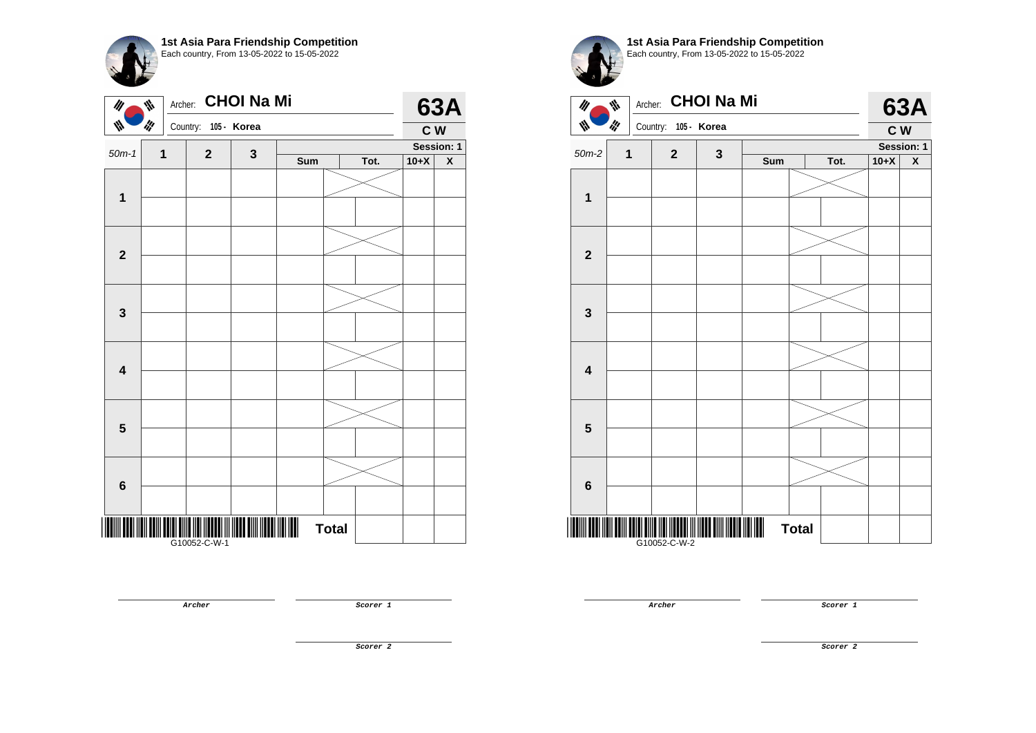| M                       | ₩   | Archer: CHOI Na Mi   |   | 1st Asia Para Friendship Competition<br>Each country, From 13-05-2022 to 15-05-2022 |      |        | <b>63A</b>      |
|-------------------------|-----|----------------------|---|-------------------------------------------------------------------------------------|------|--------|-----------------|
|                         | ilf | Country: 105 - Korea |   |                                                                                     |      | C W    |                 |
| $50m-1$                 | 1   | $\overline{2}$       | 3 | Sum                                                                                 | Tot. | $10+X$ | Session: 1<br>X |
| 1                       |     |                      |   |                                                                                     |      |        |                 |
| $\overline{2}$          |     |                      |   |                                                                                     |      |        |                 |
| $\overline{\mathbf{3}}$ |     |                      |   |                                                                                     |      |        |                 |
| $\boldsymbol{4}$        |     |                      |   |                                                                                     |      |        |                 |
| 5                       |     |                      |   |                                                                                     |      |        |                 |



**1st Asia Para Friendship Competition**

**THE CONSULTANT OF THE CONSULTANT OF THE CONSULTANT OF THE CONSULTANT** G10052-C-W-1

**6**

**Archer Scorer 1** 

**Total** 

**Archer Scorer 1** 

**Scorer 2**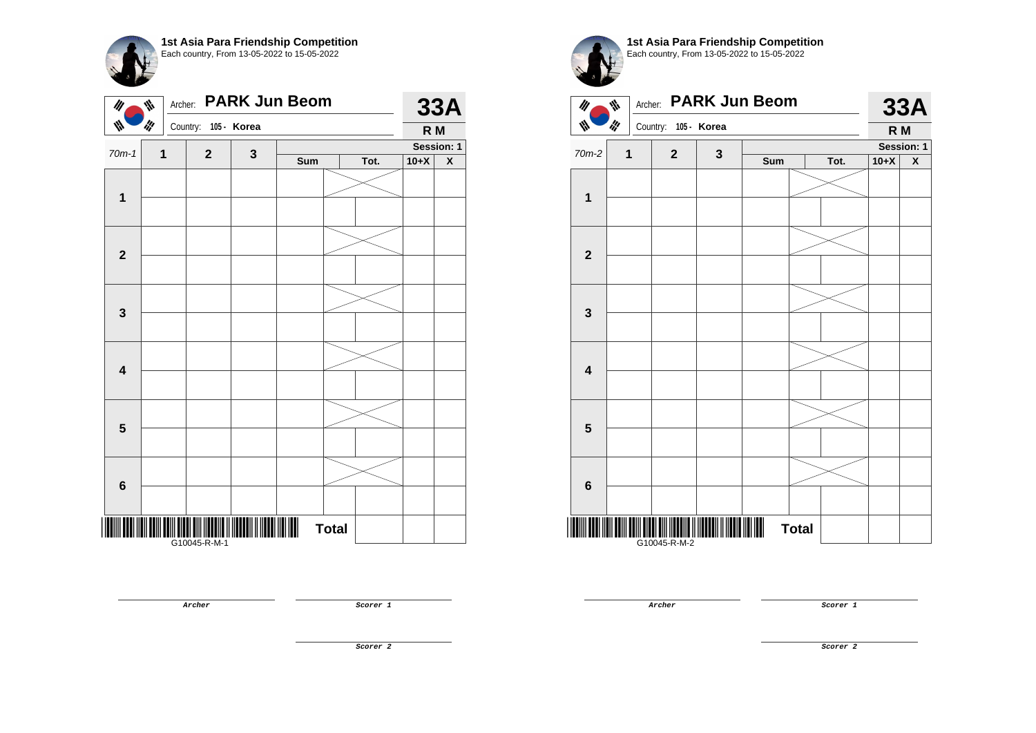|   | 1st Asia Para Friendship Competition<br>Each country, From 13-05-2022 to 15-05-2022 |
|---|-------------------------------------------------------------------------------------|
| ₩ | Archer: PARK Jun Beom                                                               |
|   | Country: 105 - Korea                                                                |

|                         |             | $\overline{\phantom{a}}$ |   |                |              |      | <b>K</b> IVI |                    |
|-------------------------|-------------|--------------------------|---|----------------|--------------|------|--------------|--------------------|
| $70m-1$                 | $\mathbf 1$ | $\mathbf{2}$             | 3 |                |              |      |              | Session: 1         |
|                         |             |                          |   | Sum            |              | Tot. | $10+X$       | $\pmb{\mathsf{X}}$ |
|                         |             |                          |   |                |              |      |              |                    |
|                         |             |                          |   |                |              |      |              |                    |
| $\mathbf{1}$            |             |                          |   |                |              |      |              |                    |
|                         |             |                          |   |                |              |      |              |                    |
|                         |             |                          |   |                |              |      |              |                    |
|                         |             |                          |   |                |              |      |              |                    |
| $\mathbf{2}$            |             |                          |   |                |              |      |              |                    |
|                         |             |                          |   |                |              |      |              |                    |
|                         |             |                          |   |                |              |      |              |                    |
|                         |             |                          |   |                |              |      |              |                    |
| $\mathbf 3$             |             |                          |   |                |              |      |              |                    |
|                         |             |                          |   |                |              |      |              |                    |
|                         |             |                          |   |                |              |      |              |                    |
|                         |             |                          |   |                |              |      |              |                    |
| $\overline{\mathbf{4}}$ |             |                          |   |                |              |      |              |                    |
|                         |             |                          |   |                |              |      |              |                    |
|                         |             |                          |   |                |              |      |              |                    |
|                         |             |                          |   |                |              |      |              |                    |
| $\overline{\mathbf{5}}$ |             |                          |   |                |              |      |              |                    |
|                         |             |                          |   |                |              |      |              |                    |
|                         |             |                          |   |                |              |      |              |                    |
|                         |             |                          |   |                |              |      |              |                    |
| $6\phantom{a}$          |             |                          |   |                |              |      |              |                    |
|                         |             |                          |   |                |              |      |              |                    |
|                         |             |                          |   | $\blacksquare$ |              |      |              |                    |
|                         |             |                          |   |                | <b>Total</b> |      |              |                    |
|                         |             |                          |   |                |              |      |              |                    |



**33A R M**

**Archer Scorer 1** 

**Scorer 2**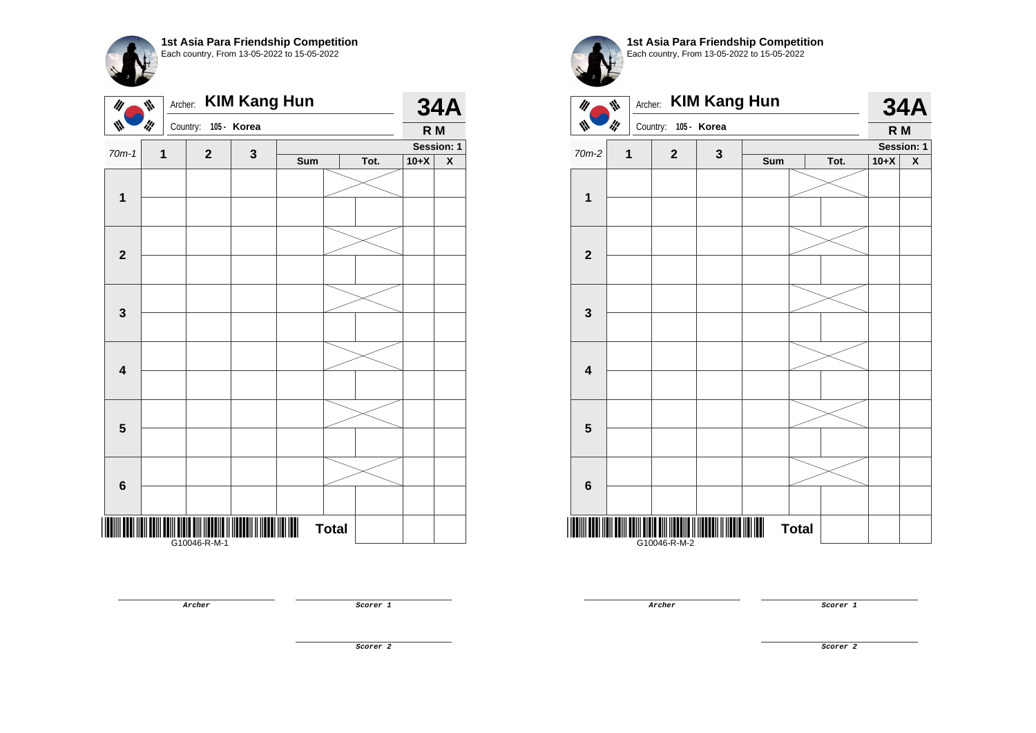**1st Asia Para Friendship Competition** Each country, From 13-05-2022 to 15-05-2022 Archer: **KIM Kang Hun 34A**  $\mathscr{U}$  $\psi$  $\mathscr{U}$ W Country: **105 - Korea R M Session: 1**  $70m-1$  **1 2 3 Sum Tot. 10+X X 1 2 3 4 5 6** \*<mark>The contribution of the position of the contribution of the contribution of</mark> **Total**  G10046-R-M-1





G10046-R-M-2

**Archer Scorer 1** 

**Archer Scorer 1** 

**34A R M**

**Session: 1**

**Scorer 2**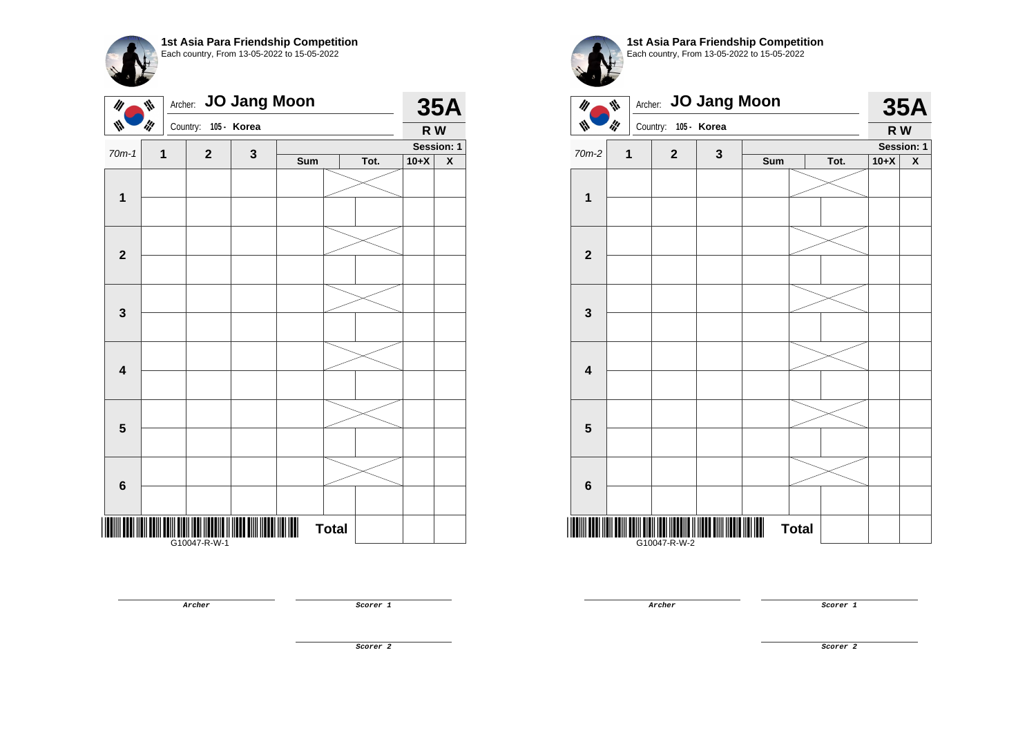| 1st Asia Para Friendship Competition<br>Each country, From 13-05-2022 to 15-05-2022 |
|-------------------------------------------------------------------------------------|
|                                                                                     |

| $\mathscr{U}$           | ₩   | Archer: JO Jang Moon |             |     |              |      |        | <b>35A</b>         |
|-------------------------|-----|----------------------|-------------|-----|--------------|------|--------|--------------------|
| W                       | ilf | Country:             | 105 - Korea |     |              |      | R W    |                    |
| $70m-1$                 | 1   | $\mathbf{2}$         | $\mathbf 3$ |     |              |      |        | Session: 1         |
|                         |     |                      |             | Sum |              | Tot. | $10+X$ | $\pmb{\mathsf{X}}$ |
|                         |     |                      |             |     |              |      |        |                    |
| $\mathbf 1$             |     |                      |             |     |              |      |        |                    |
|                         |     |                      |             |     |              |      |        |                    |
| $\mathbf{2}$            |     |                      |             |     |              |      |        |                    |
| $\mathbf 3$             |     |                      |             |     |              |      |        |                    |
|                         |     |                      |             |     |              |      |        |                    |
| $\overline{\mathbf{4}}$ |     |                      |             |     |              |      |        |                    |
|                         |     |                      |             |     |              |      |        |                    |
| $\overline{\mathbf{5}}$ |     |                      |             |     |              |      |        |                    |
|                         |     |                      |             |     |              |      |        |                    |
| $\bf 6$                 |     |                      |             |     |              |      |        |                    |
|                         |     |                      |             |     |              |      |        |                    |
|                         |     | G10047-R-W-1         |             |     | <b>Total</b> |      |        |                    |



**35A**

**Archer Scorer 1** 

 $\| \| \| \|$ G10047-R-W-2

**Total** 

**Scorer 2**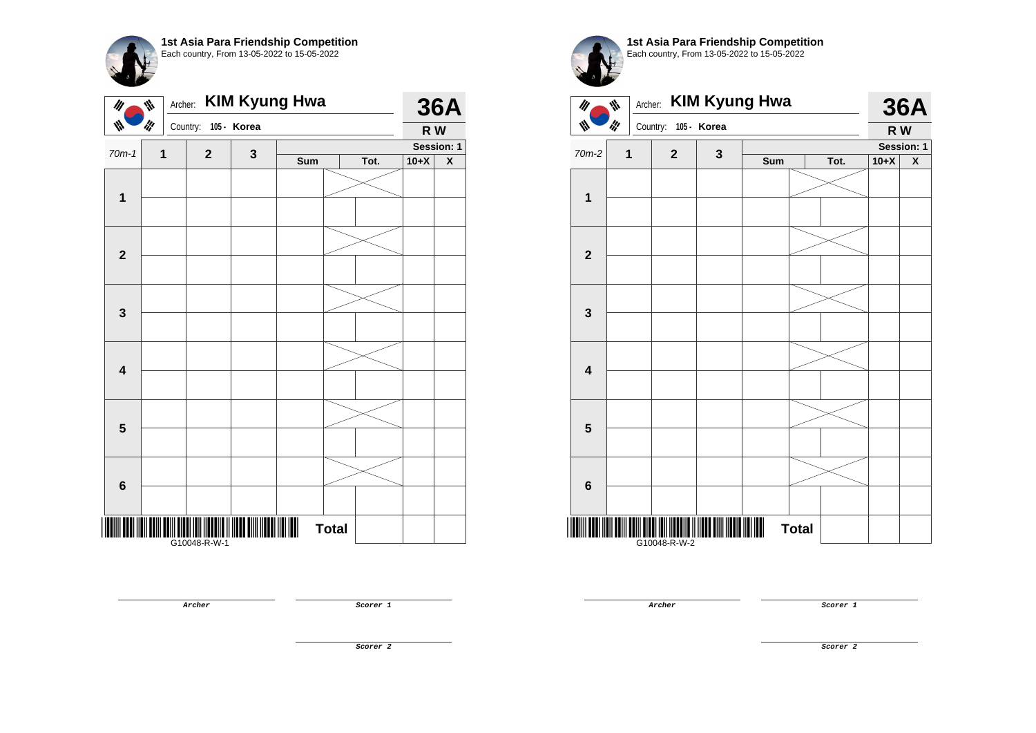**1st Asia Para Friendship Competition** Each country, From 13-05-2022 to 15-05-2022

| $\mathscr{U}$           | Archer:<br>₩ |              |             | <b>KIM Kyung Hwa</b> |              |      |        | <b>36A</b>                |
|-------------------------|--------------|--------------|-------------|----------------------|--------------|------|--------|---------------------------|
| W                       | ill          | Country:     | 105 - Korea |                      |              |      | R W    |                           |
| $70m-1$                 | 1            | $\mathbf{2}$ | 3           |                      |              |      |        | Session: 1                |
|                         |              |              |             | Sum                  |              | Tot. | $10+X$ | $\boldsymbol{\mathsf{X}}$ |
| $\mathbf{1}$            |              |              |             |                      |              |      |        |                           |
|                         |              |              |             |                      |              |      |        |                           |
| $\mathbf{2}$            |              |              |             |                      |              |      |        |                           |
|                         |              |              |             |                      |              |      |        |                           |
| $\mathbf 3$             |              |              |             |                      |              |      |        |                           |
|                         |              |              |             |                      |              |      |        |                           |
|                         |              |              |             |                      |              |      |        |                           |
| $\overline{\mathbf{4}}$ |              |              |             |                      |              |      |        |                           |
|                         |              |              |             |                      |              |      |        |                           |
| $\overline{\mathbf{5}}$ |              |              |             |                      |              |      |        |                           |
|                         |              |              |             |                      |              |      |        |                           |
| $6\phantom{1}6$         |              |              |             |                      |              |      |        |                           |
|                         |              | G10048-R-W-1 |             |                      | <b>Total</b> |      |        |                           |

Archer: **KIM Kyung Hwa 36A**  $\mathscr{U}$  $\psi$  $\mathbf{w}$ **I'M** Country: **105 - Korea R W Session: 1**  $70m-2$  **1 2 3 Sum Tot. 10+X X 1 2 3 4 5 6**

**1st Asia Para Friendship Competition** Each country, From 13-05-2022 to 15-05-2022

<u>\* G10048-R-W-20048-R-W-20048-R-W-20048-R-W-20048-R-W-20048-R-W-20048-R-W-20048-R</u> G10048-R-W-2

**Archer Scorer 1** 

**36A**

**Archer Scorer 1** 

**Total** 

**Scorer 2**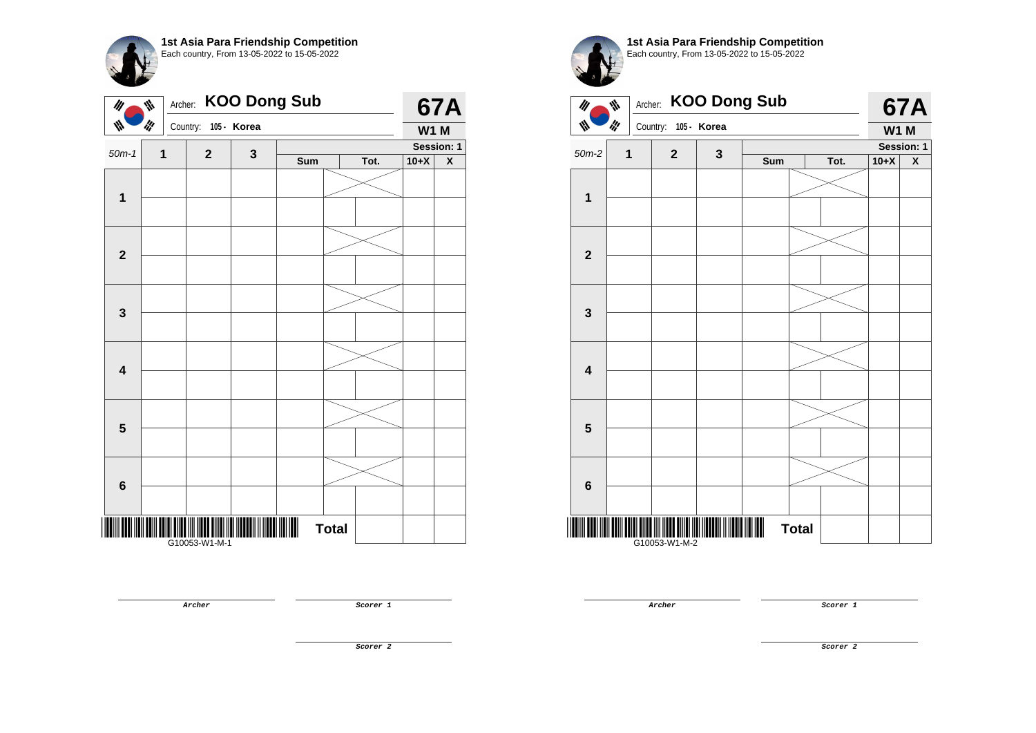

| $\mathscr{U}$           | ₩<br>Archer: |               |              | <b>KOO Dong Sub</b> |              |      |             | <b>67A</b>         |
|-------------------------|--------------|---------------|--------------|---------------------|--------------|------|-------------|--------------------|
| ₩                       | llf          | Country:      | 105 - Korea  |                     |              |      | <b>W1 M</b> |                    |
| $50m-1$                 | 1            | $\mathbf 2$   | $\mathbf{3}$ |                     |              |      |             | Session: 1         |
|                         |              |               |              | Sum                 |              | Tot. | $10+X$      | $\pmb{\mathsf{X}}$ |
|                         |              |               |              |                     |              |      |             |                    |
| $\mathbf{1}$            |              |               |              |                     |              |      |             |                    |
|                         |              |               |              |                     |              |      |             |                    |
| $\mathbf{2}$            |              |               |              |                     |              |      |             |                    |
|                         |              |               |              |                     |              |      |             |                    |
| $\mathbf 3$             |              |               |              |                     |              |      |             |                    |
| $\overline{\mathbf{4}}$ |              |               |              |                     |              |      |             |                    |
|                         |              |               |              |                     |              |      |             |                    |
| 5                       |              |               |              |                     |              |      |             |                    |
|                         |              |               |              |                     |              |      |             |                    |
| $6\phantom{1}6$         |              |               |              |                     |              |      |             |                    |
|                         |              |               |              |                     |              |      |             |                    |
|                         |              |               |              |                     | <b>Total</b> |      |             |                    |
|                         |              | G10053-W1-M-1 |              |                     |              |      |             |                    |

**1st Asia Para Friendship Competition** Each country, From 13-05-2022 to 15-05-2022 Archer: **KOO Dong Sub 67A**  $\frac{1}{2}$  $\overline{\psi}$  $\mathbf{w}$ **I'M** Country: **105 - Korea W1 M Session: 1** 50m-2 **1 2 3 Sum Tot. 10+X X 1 2 3 4 5 6**

\*G10053-W1-M-2\*

**Total** 

G10053-W1-M-2

**Archer Scorer 1** 

**67A** 

**Archer Scorer 1** 

**Scorer 2**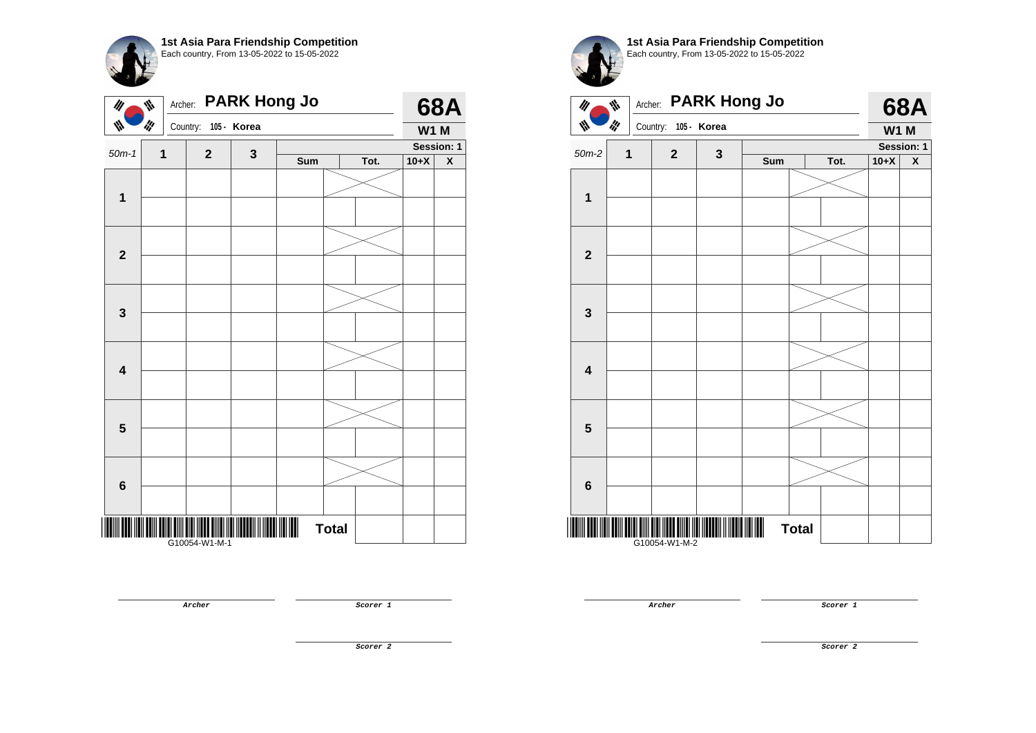

|                         | <b>PARK Hong Jo</b><br>₩<br>Archer:<br>$\mathscr{U}$<br>llf<br>W<br>Country:<br>105 - Korea |               |             |     |              |      |            | <b>68A</b>  |  |  |
|-------------------------|---------------------------------------------------------------------------------------------|---------------|-------------|-----|--------------|------|------------|-------------|--|--|
|                         |                                                                                             |               |             |     |              |      |            | <b>W1 M</b> |  |  |
| $50m-1$                 | $\mathbf 1$                                                                                 | $\mathbf{2}$  | $\mathbf 3$ |     |              |      | Session: 1 |             |  |  |
|                         |                                                                                             |               |             | Sum |              | Tot. | $10+X$     | X           |  |  |
|                         |                                                                                             |               |             |     |              |      |            |             |  |  |
| $\mathbf{1}$            |                                                                                             |               |             |     |              |      |            |             |  |  |
|                         |                                                                                             |               |             |     |              |      |            |             |  |  |
| $\boldsymbol{2}$        |                                                                                             |               |             |     |              |      |            |             |  |  |
| $\mathbf 3$             |                                                                                             |               |             |     |              |      |            |             |  |  |
|                         |                                                                                             |               |             |     |              |      |            |             |  |  |
| $\overline{\mathbf{4}}$ |                                                                                             |               |             |     |              |      |            |             |  |  |
|                         |                                                                                             |               |             |     |              |      |            |             |  |  |
| $\overline{\mathbf{5}}$ |                                                                                             |               |             |     |              |      |            |             |  |  |
|                         |                                                                                             |               |             |     |              |      |            |             |  |  |
| $\bf 6$                 |                                                                                             |               |             |     |              |      |            |             |  |  |
|                         |                                                                                             |               |             |     |              |      |            |             |  |  |
|                         |                                                                                             | G10054-W1-M-1 |             |     | <b>Total</b> |      |            |             |  |  |

**Archer Scorer 1** 

Each country, From 13-05-2022 to 15-05-2022 Archer: **PARK Hong Jo 68A**  $\frac{1}{2}$  $\overline{\psi}$  $\mathbf{w}$ **I'M** Country: **105 - Korea W1 M Session: 1** 50m-2 **1 2 3 Sum Tot. 10+X X 1 2 3 4 5 6** \*G10054-W1-M-2\* **Total** 

**1st Asia Para Friendship Competition**

G10054-W1-M-2

**Archer Scorer 1** 

**Scorer 2**

**68A**